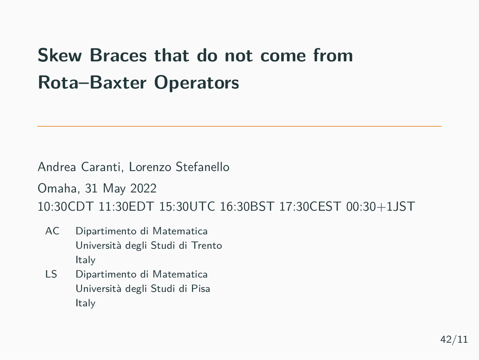# **Skew Braces that do not come from Rota–Baxter Operators**

Andrea Caranti, Lorenzo Stefanello Omaha, 31 May 2022 10:30CDT 11:30EDT 15:30UTC 16:30BST 17:30CEST 00:30+1JST

- AC Dipartimento di Matematica Università degli Studi di Trento Italy
- LS Dipartimento di Matematica Università degli Studi di Pisa Italy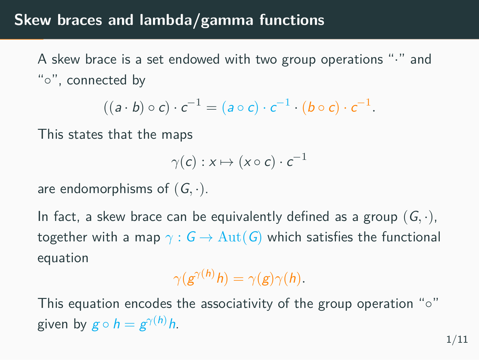#### **Skew braces and lambda/gamma functions**

A skew brace is a set endowed with two group operations "*·*" and "*◦*", connected by

$$
((a \cdot b) \circ c) \cdot c^{-1} = (a \circ c) \cdot c^{-1} \cdot (b \circ c) \cdot c^{-1}.
$$

This states that the maps

$$
\gamma(c):x\mapsto(x\circ c)\cdot c^{-1}
$$

are endomorphisms of (*G, ·*).

In fact, a skew brace can be equivalently defined as a group (*G, ·*), together with a map  $\gamma$  :  $G \to \text{Aut}(G)$  which satisfies the functional equation

$$
\gamma(g^{\gamma(h)}h)=\gamma(g)\gamma(h).
$$

This equation encodes the associativity of the group operation "*◦*" given by  $g \circ h = g^{\gamma(h)}h$ .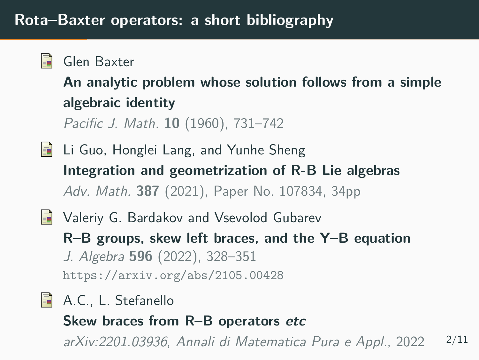# **Rota–Baxter operators: a short bibliography**

| Glen Baxter                                              |
|----------------------------------------------------------|
| An analytic problem whose solution follows from a simple |
| algebraic identity                                       |
| Pacific J. Math. 10 (1960), 731-742                      |
| Li Guo, Honglei Lang, and Yunhe Sheng                    |

**Integration and geometrization of R-B Lie algebras** *Adv. Math.* **387** (2021), Paper No. 107834, 34pp

### **Naleriy G. Bardakov and Vsevolod Gubarev R–B groups, skew left braces, and the Y–B equation** *J. Algebra* **596** (2022), 328–351 https://arxiv.org/abs/2105.00428

A.C., L. Stefanello **Skew braces from R–B operators** *etc arXiv:2201.03936*, *Annali di Matematica Pura e Appl.*, 2022 2/11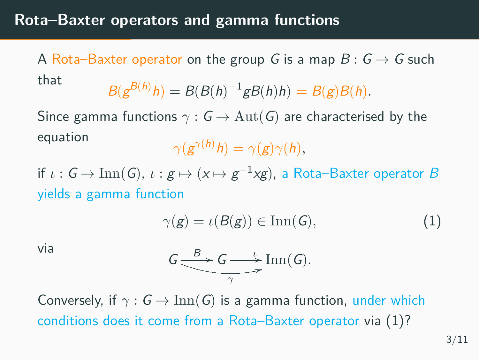# **Rota–Baxter operators and gamma functions**

A Rota–Baxter operator on the group *G* is a map  $B: G \rightarrow G$  such that

$$
B(g^{B(h)}h) = B(B(h)^{-1}gB(h)h) = B(g)B(h).
$$

Since gamma functions *γ* : *G →* Aut(*G*) are characterised by the equation

$$
\gamma(g^{\gamma(h)}h)=\gamma(g)\gamma(h),
$$

if  $\iota : G \to \text{Inn}(G)$ ,  $\iota : g \mapsto (x \mapsto g^{-1}xg)$ , a Rota–Baxter operator *B* yields a gamma function

$$
\gamma(g) = \iota(B(g)) \in \text{Inn}(G),\tag{1}
$$

via

$$
G \xrightarrow{\text{B}} G \xrightarrow{\iota} \text{Inn}(G).
$$

Conversely, if  $\gamma$  :  $G \to \text{Inn}(G)$  is a gamma function, under which conditions does it come from a Rota–Baxter operator via (1)?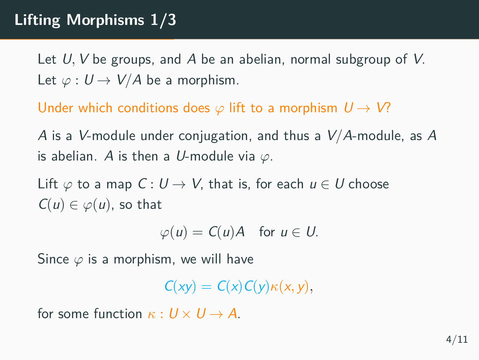#### **Lifting Morphisms 1/3**

Let *U, V* be groups, and *A* be an abelian, normal subgroup of *V*. Let  $\varphi: U \to V/A$  be a morphism.

Under which conditions does *φ* lift to a morphism *U → V*?

*A* is a *V*-module under conjugation, and thus a *V*/*A*-module, as *A* is abelian. *A* is then a *U*-module via *φ*.

Lift  $\varphi$  to a map  $C: U \rightarrow V$ , that is, for each  $u \in U$  choose  $C(u) \in \varphi(u)$ , so that

 $\varphi(u) = C(u)A$  for  $u \in U$ .

Since *φ* is a morphism, we will have

 $C(xy) = C(x)C(y)\kappa(x, y)$ 

for some function  $\kappa : U \times U \rightarrow A$ .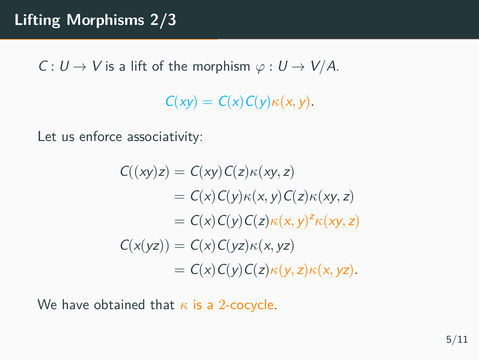$C: U \rightarrow V$  is a lift of the morphism  $\varphi: U \rightarrow V/A$ .

 $C(xy) = C(x)C(y)\kappa(x, y)$ .

Let us enforce associativity:

$$
C((xy)z) = C(xy)C(z)\kappa(xy, z)
$$
  
=  $C(x)C(y)\kappa(x, y)C(z)\kappa(xy, z)$   
=  $C(x)C(y)C(z)\kappa(x, y)^{2}\kappa(xy, z)$   

$$
C(x(yz)) = C(x)C(yz)\kappa(x, yz)
$$
  
=  $C(x)C(y)C(z)\kappa(y, z)\kappa(x, yz)$ .

We have obtained that *κ* is a 2-cocycle.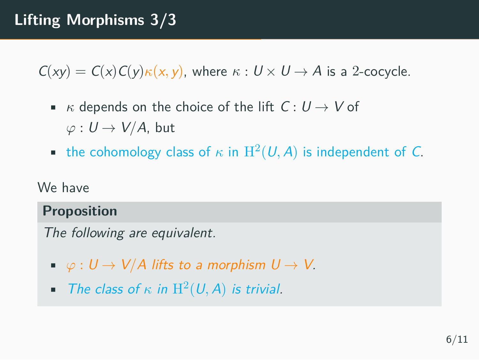#### **Lifting Morphisms 3/3**

 $C(xy) = C(x)C(y)\kappa(x, y)$ , where  $\kappa: U \times U \rightarrow A$  is a 2-cocycle.

- *κ* depends on the choice of the lift  $C: U \rightarrow V$  of  $\varphi: U \to V/A$ , but
- the cohomology class of  $\kappa$  in  $H^2(U, A)$  is independent of *C*.

#### We have

#### **Proposition**

*The following are equivalent.*

- $\bullet \varphi: U \to V/A$  lifts to a morphism  $U \to V$ .
- *The class of*  $\kappa$  *in*  $H^2(U, A)$  *is trivial.*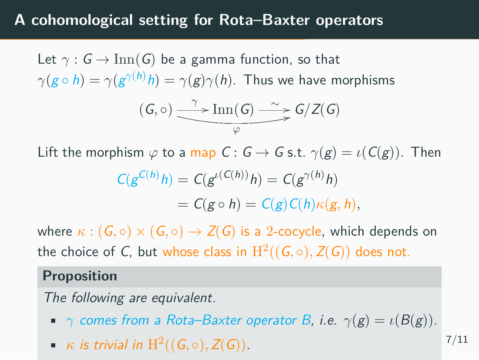#### **A cohomological setting for Rota–Baxter operators**

Let  $\gamma$  :  $G \rightarrow \text{Inn}(G)$  be a gamma function, so that  $\gamma(g \circ h) = \gamma(g^{\gamma(h)}h) = \gamma(g)\gamma(h)$ . Thus we have morphisms  $(G, o) \longrightarrow I$  $\frac{\text{Inn}(G) \longrightarrow G/Z(G)}{P}$ 

Lift the morphism  $\varphi$  to a map  $C: G \to G$  s.t.  $\gamma(g) = \iota(C(g))$ . Then

$$
C(g^{C(h)}h) = C(g^{\iota(C(h))}h) = C(g^{\gamma(h)}h)
$$
  
= 
$$
C(g \circ h) = C(g)C(h)\kappa(g, h),
$$

where  $\kappa$  :  $(G, \circ) \times (G, \circ) \rightarrow Z(G)$  is a 2-cocycle, which depends on the choice of *C*, but whose class in  $\mathrm{H}^2((G, \circ), Z(G))$  does not.

#### **Proposition**

*The following are equivalent.*

- *γ comes from a Rota–Baxter operator B, i.e.*  $\gamma(g) = \iota(B(g)).$
- *κ is trivial in*  $H^2((G, \circ), Z(G))$ *.*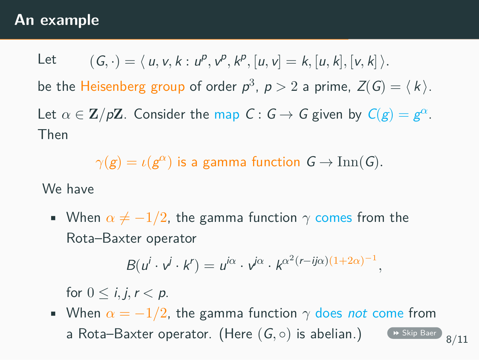#### **An example**

Let 
$$
(G, \cdot) = \langle u, v, k : u^p, v^p, k^p, [u, v] = k, [u, k], [v, k] \rangle
$$
.  
\nbe the Heisenberg group of order  $p^3$ ,  $p > 2$  a prime,  $Z(G) = \langle k \rangle$ .  
\nLet  $\alpha \in \mathbb{Z}/p\mathbb{Z}$ . Consider the map  $C: G \to G$  given by  $C(g) = g^{\alpha}$ .  
\nThen

 $\gamma(g) = \iota(g^{\alpha})$  is a gamma function  $G \to \text{Inn}(G)$ *.* 

We have

• When  $\alpha \neq -1/2$ , the gamma function  $\gamma$  comes from the Rota–Baxter operator

 $B(u^i \cdot v^j \cdot k^r) = u^{i\alpha} \cdot v^{i\alpha} \cdot k^{\alpha^2(r - ij\alpha)(1+2\alpha)^{-1}},$ 

for  $0 \leq i, j, r < p$ .

• When  $\alpha = -1/2$ , the gamma function  $\gamma$  does *not* come from<br>a Rota–Baxter operator. (Here  $(G, \circ)$  is abelian.) (\* Skip Baer)  $_{8/11}$ a Rota–Baxter operator. (Here (G, o) is abelian.)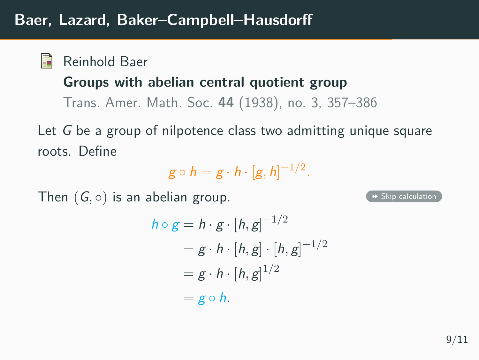# **Baer, Lazard, Baker–Campbell–Hausdorff**

Reinhold Baer

#### **Groups with abelian central quotient group**

Trans. Amer. Math. Soc. **44** (1938), no. 3, 357–386

Let *G* be a group of nilpotence class two admitting unique square roots. Define

$$
g\circ h=g\cdot h\cdot [g,h]^{-1/2}.
$$

Then  $(G, \circ)$  is an abelian group.  $(g, \circ)$  is an abelian group.

$$
h \circ g = h \cdot g \cdot [h, g]^{-1/2}
$$
  
=  $g \cdot h \cdot [h, g] \cdot [h, g]^{-1/2}$   
=  $g \cdot h \cdot [h, g]^{1/2}$   
=  $g \circ h$ .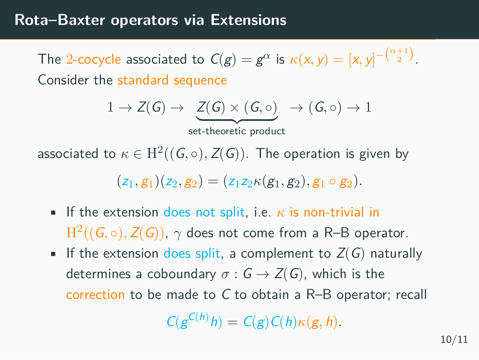#### **Rota–Baxter operators via Extensions**

The 2-cocycle associated to  $C(g) = g^{\alpha}$  is  $\kappa(x, y) = [x, y]^{-(\frac{\alpha+1}{2})}$ . Consider the standard sequence

$$
1 \to Z(G) \to \underbrace{Z(G) \times (G, \circ)} \to (G, \circ) \to 1
$$

set-theoretic product

associated to  $\kappa \in H^2((G, \circ), Z(G))$ . The operation is given by

 $(z_1, g_1)(z_2, g_2) = (z_1z_2\kappa(g_1, g_2), g_1 \circ g_2).$ 

- **•** If the extension does not split, i.e.  $\kappa$  is non-trivial in  $\mathrm{H}^2((G, \circ), Z(G))$ ,  $\gamma$  does not come from a R–B operator.
- **•** If the extension does split, a complement to  $Z(G)$  naturally determines a coboundary  $\sigma$  :  $G \rightarrow Z(G)$ , which is the correction to be made to *C* to obtain a R–B operator; recall

$$
C(g^{C(h)}h) = C(g)C(h)\kappa(g,h).
$$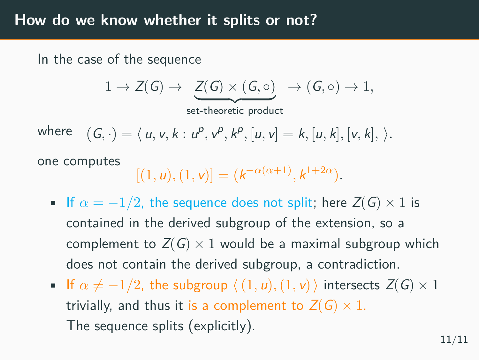#### **How do we know whether it splits or not?**

In the case of the sequence

$$
1 \to Z(G) \to \underbrace{Z(G) \times (G, \circ)}_{\text{set-theoretic product}} \to (G, \circ) \to 1,
$$

where  $(G, \cdot) = \langle u, v, k : u^p, v^p, k^p, [u, v] = k, [u, k], [v, k], \rangle.$ 

one computes

$$
[(1, u), (1, v)] = (k^{-\alpha(\alpha+1)}, k^{1+2\alpha}).
$$

- If  $\alpha = -1/2$ , the sequence does not split; here  $Z(G) \times 1$  is contained in the derived subgroup of the extension, so a complement to  $Z(G) \times 1$  would be a maximal subgroup which does not contain the derived subgroup, a contradiction.
- **■** If  $\alpha \neq -1/2$ , the subgroup  $\langle (1, u), (1, v) \rangle$  intersects  $Z(G) \times 1$ trivially, and thus it is a complement to  $Z(G) \times 1$ . The sequence splits (explicitly).